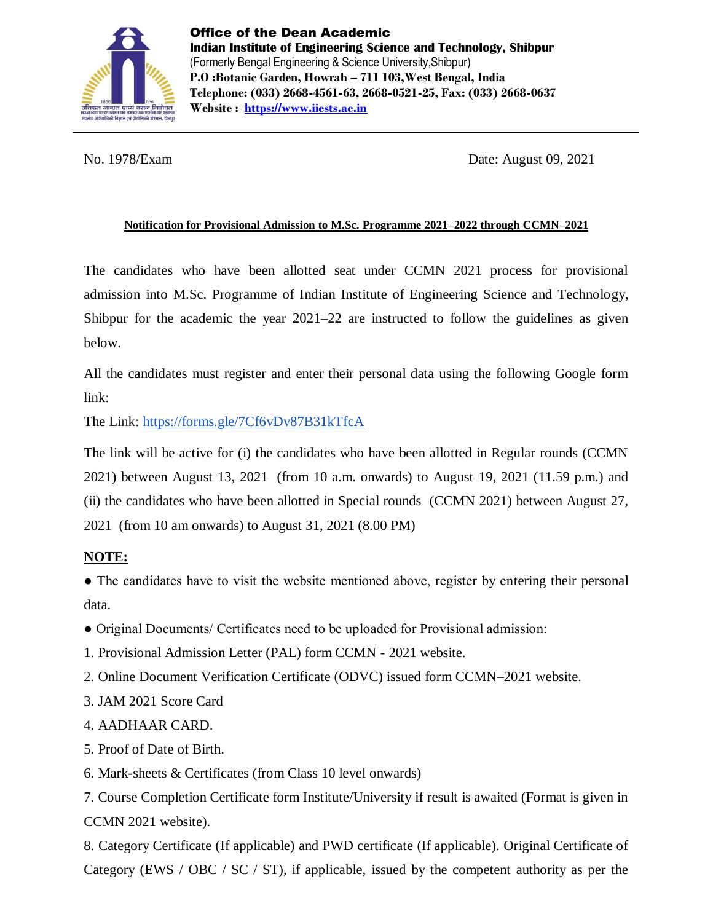

No. 1978/Exam Date: August 09, 2021

### **Notification for Provisional Admission to M.Sc. Programme 2021–2022 through CCMN–2021**

The candidates who have been allotted seat under CCMN 2021 process for provisional admission into M.Sc. Programme of Indian Institute of Engineering Science and Technology, Shibpur for the academic the year 2021–22 are instructed to follow the guidelines as given below.

All the candidates must register and enter their personal data using the following Google form link:

The Link: <https://forms.gle/7Cf6vDv87B31kTfcA>

The link will be active for (i) the candidates who have been allotted in Regular rounds (CCMN 2021) between August 13, 2021 (from 10 a.m. onwards) to August 19, 2021 (11.59 p.m.) and (ii) the candidates who have been allotted in Special rounds (CCMN 2021) between August 27, 2021 (from 10 am onwards) to August 31, 2021 (8.00 PM)

# **NOTE:**

• The candidates have to visit the website mentioned above, register by entering their personal data.

- Original Documents/ Certificates need to be uploaded for Provisional admission:
- 1. Provisional Admission Letter (PAL) form CCMN 2021 website.
- 2. Online Document Verification Certificate (ODVC) issued form CCMN–2021 website.
- 3. JAM 2021 Score Card
- 4. AADHAAR CARD.
- 5. Proof of Date of Birth.
- 6. Mark-sheets & Certificates (from Class 10 level onwards)

7. Course Completion Certificate form Institute/University if result is awaited (Format is given in CCMN 2021 website).

8. Category Certificate (If applicable) and PWD certificate (If applicable). Original Certificate of Category (EWS / OBC / SC / ST), if applicable, issued by the competent authority as per the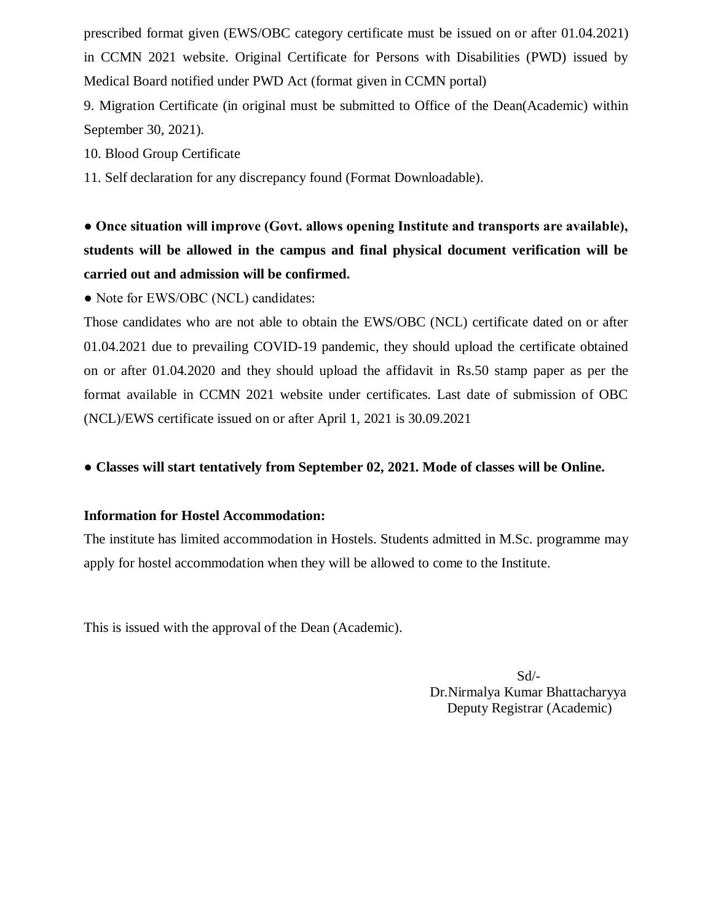prescribed format given (EWS/OBC category certificate must be issued on or after 01.04.2021) in CCMN 2021 website. Original Certificate for Persons with Disabilities (PWD) issued by Medical Board notified under PWD Act (format given in CCMN portal)

9. Migration Certificate (in original must be submitted to Office of the Dean(Academic) within September 30, 2021).

10. Blood Group Certificate

11. Self declaration for any discrepancy found (Format Downloadable).

**● Once situation will improve (Govt. allows opening Institute and transports are available), students will be allowed in the campus and final physical document verification will be carried out and admission will be confirmed.** 

• Note for EWS/OBC (NCL) candidates:

Those candidates who are not able to obtain the EWS/OBC (NCL) certificate dated on or after 01.04.2021 due to prevailing COVID-19 pandemic, they should upload the certificate obtained on or after 01.04.2020 and they should upload the affidavit in Rs.50 stamp paper as per the format available in CCMN 2021 website under certificates. Last date of submission of OBC (NCL)/EWS certificate issued on or after April 1, 2021 is 30.09.2021

## ● **Classes will start tentatively from September 02, 2021. Mode of classes will be Online.**

#### **Information for Hostel Accommodation:**

The institute has limited accommodation in Hostels. Students admitted in M.Sc. programme may apply for hostel accommodation when they will be allowed to come to the Institute.

This is issued with the approval of the Dean (Academic).

 Sd/- Dr.Nirmalya Kumar Bhattacharyya Deputy Registrar (Academic)